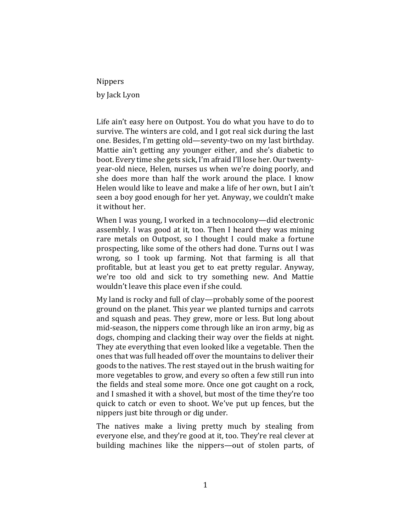Nippers by Jack Lyon

Life ain't easy here on Outpost. You do what you have to do to survive. The winters are cold, and I got real sick during the last one. Besides, I'm getting old—seventy-two on my last birthday. Mattie ain't getting any younger either, and she's diabetic to boot. Every time she gets sick, I'm afraid I'll lose her. Our twentyyear-old niece, Helen, nurses us when we're doing poorly, and she does more than half the work around the place. I know Helen would like to leave and make a life of her own, but I ain't seen a boy good enough for her yet. Anyway, we couldn't make it without her.

When I was young, I worked in a technocolony—did electronic assembly. I was good at it, too. Then I heard they was mining rare metals on Outpost, so I thought I could make a fortune prospecting, like some of the others had done. Turns out I was wrong, so I took up farming. Not that farming is all that profitable, but at least you get to eat pretty regular. Anyway, we're too old and sick to try something new. And Mattie wouldn't leave this place even if she could.

My land is rocky and full of clay—probably some of the poorest ground on the planet. This year we planted turnips and carrots and squash and peas. They grew, more or less. But long about mid-season, the nippers come through like an iron army, big as dogs, chomping and clacking their way over the fields at night. They ate everything that even looked like a vegetable. Then the ones that was full headed off over the mountains to deliver their goods to the natives. The rest stayed out in the brush waiting for more vegetables to grow, and every so often a few still run into the fields and steal some more. Once one got caught on a rock, and I smashed it with a shovel, but most of the time they're too quick to catch or even to shoot. We've put up fences, but the nippers just bite through or dig under.

The natives make a living pretty much by stealing from everyone else, and they're good at it, too. They're real clever at building machines like the nippers—out of stolen parts, of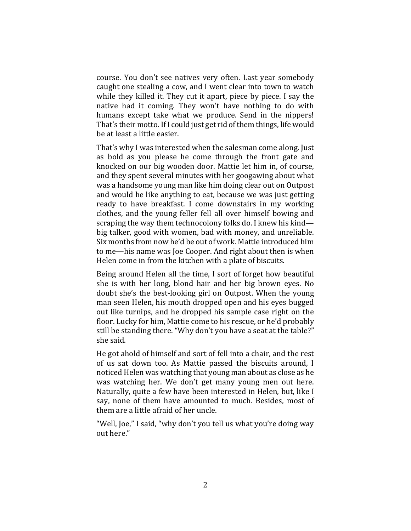course. You don't see natives very often. Last year somebody caught one stealing a cow, and I went clear into town to watch while they killed it. They cut it apart, piece by piece. I say the native had it coming. They won't have nothing to do with humans except take what we produce. Send in the nippers! That's their motto. If I could just get rid of them things, life would be at least a little easier.

That's why I was interested when the salesman come along. Just as bold as you please he come through the front gate and knocked on our big wooden door. Mattie let him in, of course, and they spent several minutes with her googawing about what was a handsome young man like him doing clear out on Outpost and would he like anything to eat, because we was just getting ready to have breakfast. I come downstairs in my working clothes, and the young feller fell all over himself bowing and scraping the way them technocolony folks do. I knew his kind big talker, good with women, bad with money, and unreliable. Six months from now he'd be out of work. Mattie introduced him to me—his name was Joe Cooper. And right about then is when Helen come in from the kitchen with a plate of biscuits.

Being around Helen all the time, I sort of forget how beautiful she is with her long, blond hair and her big brown eyes. No doubt she's the best-looking girl on Outpost. When the young man seen Helen, his mouth dropped open and his eyes bugged out like turnips, and he dropped his sample case right on the floor. Lucky for him, Mattie come to his rescue, or he'd probably still be standing there. "Why don't you have a seat at the table?" she said.

He got ahold of himself and sort of fell into a chair, and the rest of us sat down too. As Mattie passed the biscuits around, I noticed Helen was watching that young man about as close as he was watching her. We don't get many young men out here. Naturally, quite a few have been interested in Helen, but, like I say, none of them have amounted to much. Besides, most of them are a little afraid of her uncle.

"Well, Joe," I said, "why don't you tell us what you're doing way out here."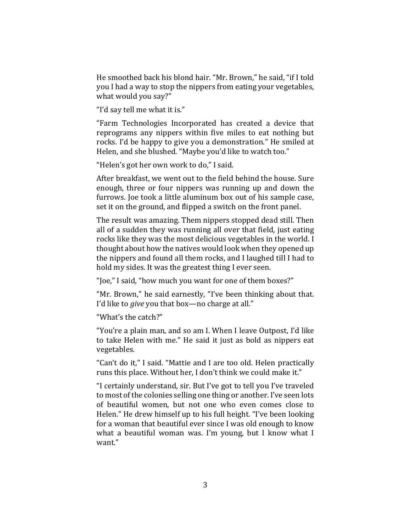He smoothed back his blond hair. "Mr. Brown," he said, "if I told you I had a way to stop the nippers from eating your vegetables, what would you say?"

"I'd say tell me what it is."

"Farm Technologies Incorporated has created a device that reprograms any nippers within five miles to eat nothing but rocks. I'd be happy to give you a demonstration." He smiled at Helen, and she blushed. "Maybe you'd like to watch too."

"Helen's got her own work to do," I said.

After breakfast, we went out to the field behind the house. Sure enough, three or four nippers was running up and down the furrows. Joe took a little aluminum box out of his sample case, set it on the ground, and flipped a switch on the front panel.

The result was amazing. Them nippers stopped dead still. Then all of a sudden they was running all over that field, just eating rocks like they was the most delicious vegetables in the world. I thought about how the natives would look when they opened up the nippers and found all them rocks, and I laughed till I had to hold my sides. It was the greatest thing I ever seen.

"Joe," I said, "how much you want for one of them boxes?"

"Mr. Brown," he said earnestly, "I've been thinking about that. I'd like to *give* you that box—no charge at all."

"What's the catch?"

"You're a plain man, and so am I. When I leave Outpost, I'd like to take Helen with me." He said it just as bold as nippers eat vegetables.

"Can't do it," I said. "Mattie and I are too old. Helen practically runs this place. Without her, I don't think we could make it."

"I certainly understand, sir. But I've got to tell you I've traveled to most of the colonies selling one thing or another. I've seen lots of beautiful women, but not one who even comes close to Helen." He drew himself up to his full height. "I've been looking for a woman that beautiful ever since I was old enough to know what a beautiful woman was. I'm young, but I know what I want."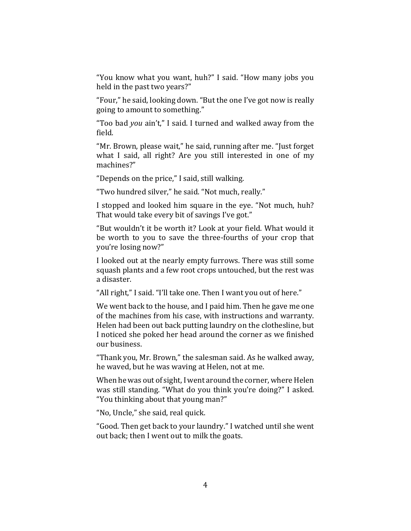"You know what you want, huh?" I said. "How many jobs you held in the past two years?"

"Four," he said, looking down. "But the one I've got now is really going to amount to something."

"Too bad *you* ain't," I said. I turned and walked away from the field.

"Mr. Brown, please wait," he said, running after me. "Just forget what I said, all right? Are you still interested in one of my machines?"

"Depends on the price," I said, still walking.

"Two hundred silver," he said. "Not much, really."

I stopped and looked him square in the eye. "Not much, huh? That would take every bit of savings I've got."

"But wouldn't it be worth it? Look at your field. What would it be worth to you to save the three-fourths of your crop that you're losing now?"

I looked out at the nearly empty furrows. There was still some squash plants and a few root crops untouched, but the rest was a disaster.

"All right," I said. "I'll take one. Then I want you out of here."

We went back to the house, and I paid him. Then he gave me one of the machines from his case, with instructions and warranty. Helen had been out back putting laundry on the clothesline, but I noticed she poked her head around the corner as we finished our business.

"Thank you, Mr. Brown," the salesman said. As he walked away, he waved, but he was waving at Helen, not at me.

When he was out of sight, I went around the corner, where Helen was still standing. "What do you think you're doing?" I asked. "You thinking about that young man?"

"No, Uncle," she said, real quick.

"Good. Then get back to your laundry." I watched until she went out back; then I went out to milk the goats.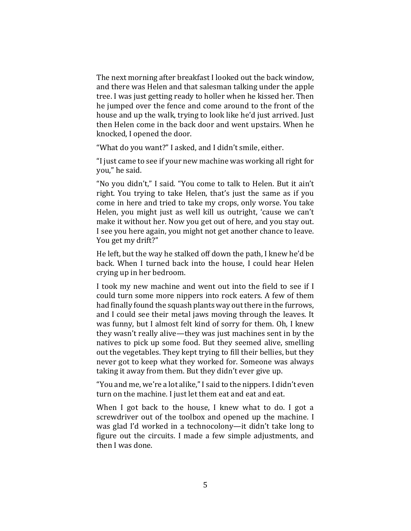The next morning after breakfast I looked out the back window, and there was Helen and that salesman talking under the apple tree. I was just getting ready to holler when he kissed her. Then he jumped over the fence and come around to the front of the house and up the walk, trying to look like he'd just arrived. Just then Helen come in the back door and went upstairs. When he knocked, I opened the door.

"What do you want?" I asked, and I didn't smile, either.

"I just came to see if your new machine was working all right for you," he said.

"No you didn't," I said. "You come to talk to Helen. But it ain't right. You trying to take Helen, that's just the same as if you come in here and tried to take my crops, only worse. You take Helen, you might just as well kill us outright, 'cause we can't make it without her. Now you get out of here, and you stay out. I see you here again, you might not get another chance to leave. You get my drift?"

He left, but the way he stalked off down the path, I knew he'd be back. When I turned back into the house, I could hear Helen crying up in her bedroom.

I took my new machine and went out into the field to see if I could turn some more nippers into rock eaters. A few of them had finally found the squash plants way out there in the furrows, and I could see their metal jaws moving through the leaves. It was funny, but I almost felt kind of sorry for them. Oh, I knew they wasn't really alive—they was just machines sent in by the natives to pick up some food. But they seemed alive, smelling out the vegetables. They kept trying to fill their bellies, but they never got to keep what they worked for. Someone was always taking it away from them. But they didn't ever give up.

"You and me, we're a lot alike,"I said to the nippers. I didn't even turn on the machine. I just let them eat and eat and eat.

When I got back to the house, I knew what to do. I got a screwdriver out of the toolbox and opened up the machine. I was glad I'd worked in a technocolony—it didn't take long to figure out the circuits. I made a few simple adjustments, and then I was done.